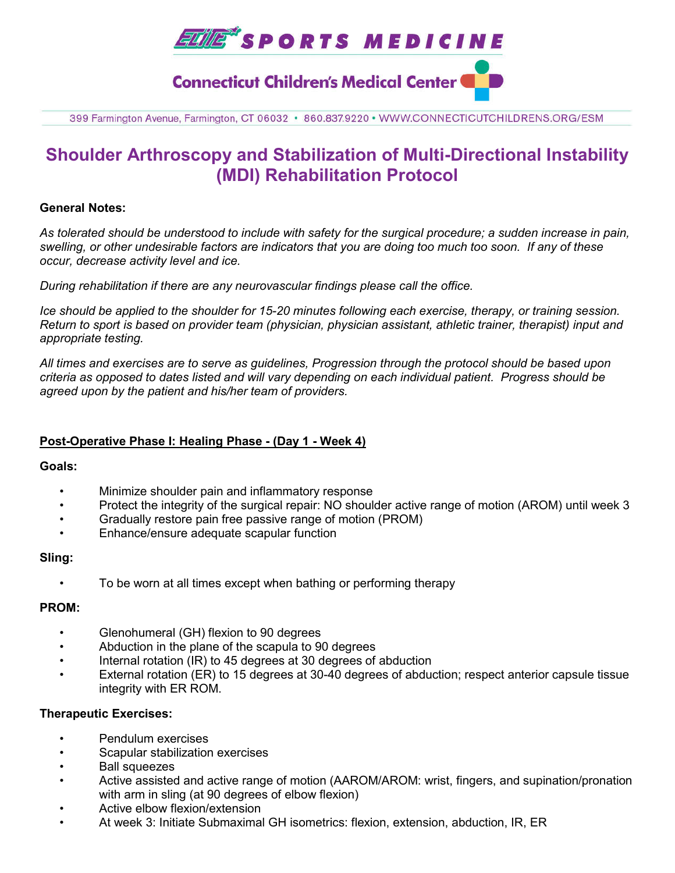

399 Farmington Avenue, Farmington, CT 06032 · 860.837.9220 · WWW.CONNECTICUTCHILDRENS.ORG/ESM

# **Shoulder Arthroscopy and Stabilization of Multi-Directional Instability (MDI) Rehabilitation Protocol**

#### **General Notes:**

*As tolerated should be understood to include with safety for the surgical procedure; a sudden increase in pain, swelling, or other undesirable factors are indicators that you are doing too much too soon. If any of these occur, decrease activity level and ice.* 

*During rehabilitation if there are any neurovascular findings please call the office.*

*Ice should be applied to the shoulder for 15-20 minutes following each exercise, therapy, or training session. Return to sport is based on provider team (physician, physician assistant, athletic trainer, therapist) input and appropriate testing.*

*All times and exercises are to serve as guidelines, Progression through the protocol should be based upon criteria as opposed to dates listed and will vary depending on each individual patient. Progress should be agreed upon by the patient and his/her team of providers.*

### **Post-Operative Phase I: Healing Phase - (Day 1 - Week 4)**

#### **Goals:**

- Minimize shoulder pain and inflammatory response
- Protect the integrity of the surgical repair: NO shoulder active range of motion (AROM) until week 3
- Gradually restore pain free passive range of motion (PROM)
- Enhance/ensure adequate scapular function

#### **Sling:**

• To be worn at all times except when bathing or performing therapy

#### **PROM:**

- Glenohumeral (GH) flexion to 90 degrees
- Abduction in the plane of the scapula to 90 degrees
- Internal rotation (IR) to 45 degrees at 30 degrees of abduction
- External rotation (ER) to 15 degrees at 30-40 degrees of abduction; respect anterior capsule tissue integrity with ER ROM.

#### **Therapeutic Exercises:**

- Pendulum exercises
- Scapular stabilization exercises
- Ball squeezes
- Active assisted and active range of motion (AAROM/AROM: wrist, fingers, and supination/pronation with arm in sling (at 90 degrees of elbow flexion)
- Active elbow flexion/extension
- At week 3: Initiate Submaximal GH isometrics: flexion, extension, abduction, IR, ER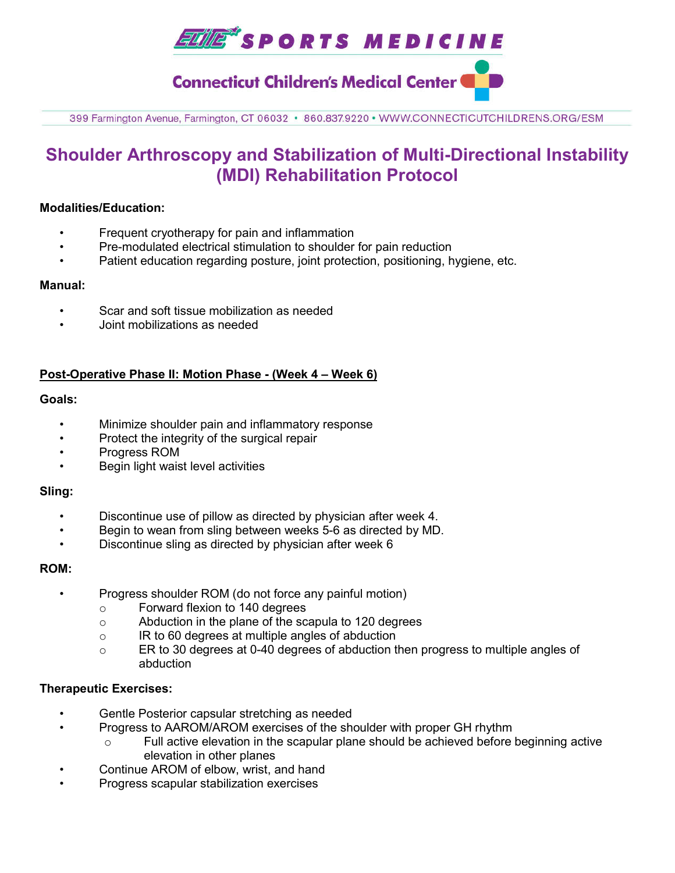

399 Farmington Avenue, Farmington, CT 06032 · 860.837.9220 · WWW.CONNECTICUTCHILDRENS.ORG/ESM

# **Shoulder Arthroscopy and Stabilization of Multi-Directional Instability (MDI) Rehabilitation Protocol**

### **Modalities/Education:**

- Frequent cryotherapy for pain and inflammation
- Pre-modulated electrical stimulation to shoulder for pain reduction
- Patient education regarding posture, joint protection, positioning, hygiene, etc.

#### **Manual:**

- Scar and soft tissue mobilization as needed
- Joint mobilizations as needed

## **Post-Operative Phase II: Motion Phase - (Week 4 – Week 6)**

## **Goals:**

- Minimize shoulder pain and inflammatory response
- Protect the integrity of the surgical repair
- Progress ROM
- Begin light waist level activities

#### **Sling:**

- Discontinue use of pillow as directed by physician after week 4.
- Begin to wean from sling between weeks 5-6 as directed by MD.
- Discontinue sling as directed by physician after week 6

#### **ROM:**

- Progress shoulder ROM (do not force any painful motion)
	- o Forward flexion to 140 degrees
	- o Abduction in the plane of the scapula to 120 degrees
	- o IR to 60 degrees at multiple angles of abduction
	- o ER to 30 degrees at 0-40 degrees of abduction then progress to multiple angles of abduction

#### **Therapeutic Exercises:**

- Gentle Posterior capsular stretching as needed
- Progress to AAROM/AROM exercises of the shoulder with proper GH rhythm
	- $\circ$  Full active elevation in the scapular plane should be achieved before beginning active elevation in other planes
- Continue AROM of elbow, wrist, and hand
- Progress scapular stabilization exercises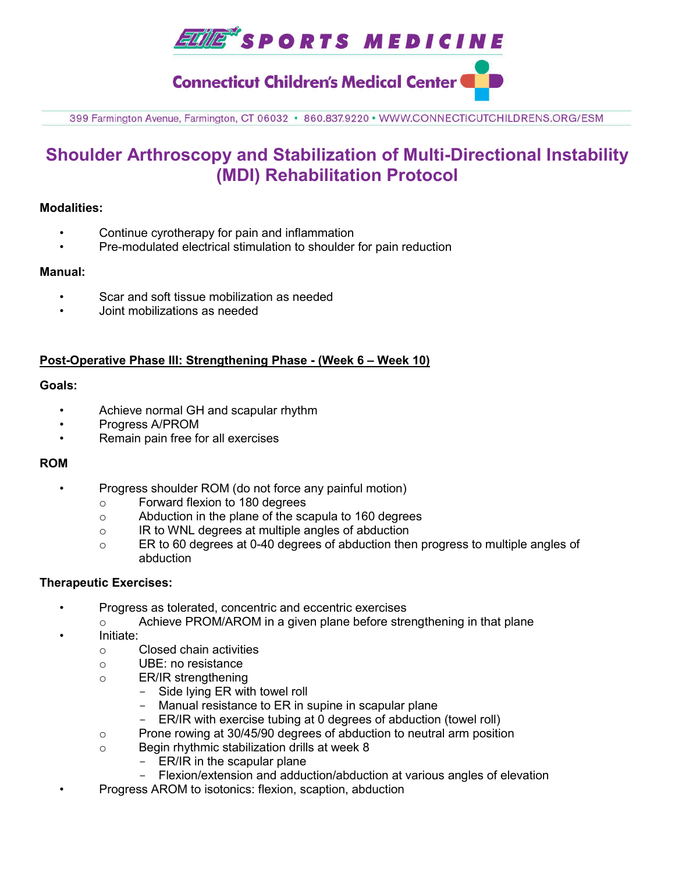

399 Farmington Avenue, Farmington, CT 06032 · 860.837.9220 · WWW.CONNECTICUTCHILDRENS.ORG/ESM

# **Shoulder Arthroscopy and Stabilization of Multi-Directional Instability (MDI) Rehabilitation Protocol**

## **Modalities:**

- Continue cyrotherapy for pain and inflammation
- Pre-modulated electrical stimulation to shoulder for pain reduction

#### **Manual:**

- Scar and soft tissue mobilization as needed
- Joint mobilizations as needed

## **Post-Operative Phase III: Strengthening Phase - (Week 6 – Week 10)**

## **Goals:**

- Achieve normal GH and scapular rhythm
- Progress A/PROM
- Remain pain free for all exercises

## **ROM**

- Progress shoulder ROM (do not force any painful motion)
	- o Forward flexion to 180 degrees
	- o Abduction in the plane of the scapula to 160 degrees
	- o IR to WNL degrees at multiple angles of abduction
	- o ER to 60 degrees at 0-40 degrees of abduction then progress to multiple angles of abduction

#### **Therapeutic Exercises:**

- Progress as tolerated, concentric and eccentric exercises
	- $\circ$  Achieve PROM/AROM in a given plane before strengthening in that plane
- Initiate:
	- o Closed chain activities
	- o UBE: no resistance
	- o ER/IR strengthening
		- Side lying ER with towel roll
		- Manual resistance to ER in supine in scapular plane
		- ER/IR with exercise tubing at 0 degrees of abduction (towel roll)
	- o Prone rowing at 30/45/90 degrees of abduction to neutral arm position
	- o Begin rhythmic stabilization drills at week 8
		- ER/IR in the scapular plane
		- Flexion/extension and adduction/abduction at various angles of elevation
- Progress AROM to isotonics: flexion, scaption, abduction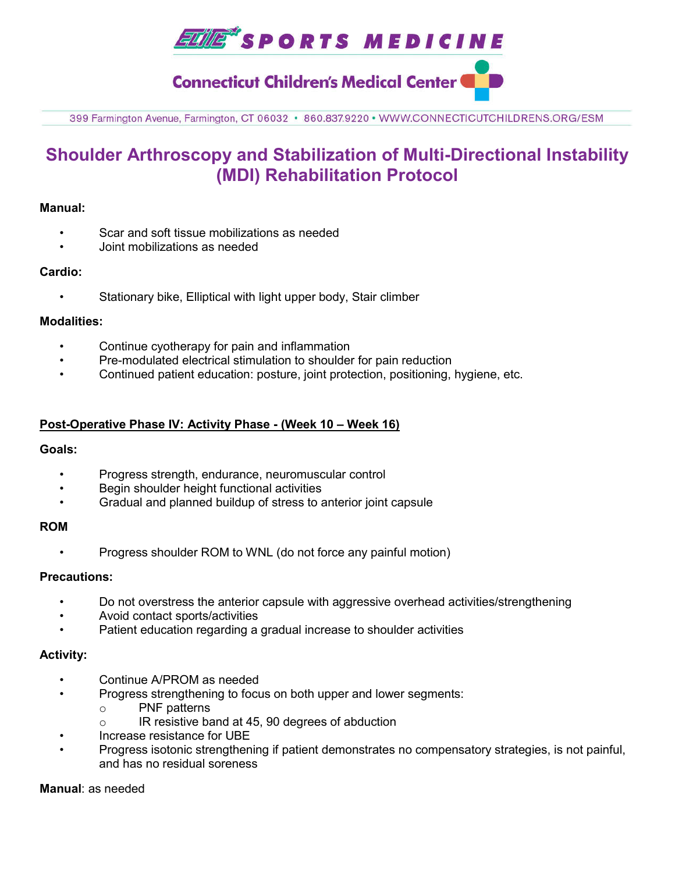

399 Farmington Avenue, Farmington, CT 06032 · 860.837.9220 · WWW.CONNECTICUTCHILDRENS.ORG/ESM

# **Shoulder Arthroscopy and Stabilization of Multi-Directional Instability (MDI) Rehabilitation Protocol**

### **Manual:**

- Scar and soft tissue mobilizations as needed
- Joint mobilizations as needed

## **Cardio:**

Stationary bike, Elliptical with light upper body, Stair climber

## **Modalities:**

- Continue cyotherapy for pain and inflammation
- Pre-modulated electrical stimulation to shoulder for pain reduction
- Continued patient education: posture, joint protection, positioning, hygiene, etc.

## **Post-Operative Phase IV: Activity Phase - (Week 10 – Week 16)**

#### **Goals:**

- Progress strength, endurance, neuromuscular control
- Begin shoulder height functional activities
- Gradual and planned buildup of stress to anterior joint capsule

#### **ROM**

• Progress shoulder ROM to WNL (do not force any painful motion)

#### **Precautions:**

- Do not overstress the anterior capsule with aggressive overhead activities/strengthening
- Avoid contact sports/activities
- Patient education regarding a gradual increase to shoulder activities

#### **Activity:**

- Continue A/PROM as needed
- Progress strengthening to focus on both upper and lower segments:
	- o PNF patterns
	- o IR resistive band at 45, 90 degrees of abduction
- Increase resistance for UBE
- Progress isotonic strengthening if patient demonstrates no compensatory strategies, is not painful, and has no residual soreness

# **Manual**: as needed